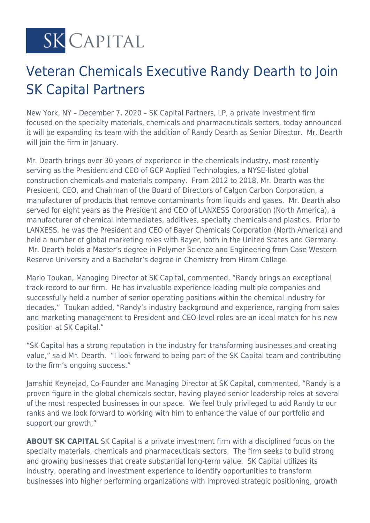**SK CAPITAL** 

## Veteran Chemicals Executive Randy Dearth to Join SK Capital Partners

New York, NY – December 7, 2020 – SK Capital Partners, LP, a private investment firm focused on the specialty materials, chemicals and pharmaceuticals sectors, today announced it will be expanding its team with the addition of Randy Dearth as Senior Director. Mr. Dearth will join the firm in January.

Mr. Dearth brings over 30 years of experience in the chemicals industry, most recently serving as the President and CEO of GCP Applied Technologies, a NYSE-listed global construction chemicals and materials company. From 2012 to 2018, Mr. Dearth was the President, CEO, and Chairman of the Board of Directors of Calgon Carbon Corporation, a manufacturer of products that remove contaminants from liquids and gases. Mr. Dearth also served for eight years as the President and CEO of LANXESS Corporation (North America), a manufacturer of chemical intermediates, additives, specialty chemicals and plastics. Prior to LANXESS, he was the President and CEO of Bayer Chemicals Corporation (North America) and held a number of global marketing roles with Bayer, both in the United States and Germany. Mr. Dearth holds a Master's degree in Polymer Science and Engineering from Case Western Reserve University and a Bachelor's degree in Chemistry from Hiram College.

Mario Toukan, Managing Director at SK Capital, commented, "Randy brings an exceptional track record to our firm. He has invaluable experience leading multiple companies and successfully held a number of senior operating positions within the chemical industry for decades." Toukan added, "Randy's industry background and experience, ranging from sales and marketing management to President and CEO-level roles are an ideal match for his new position at SK Capital."

"SK Capital has a strong reputation in the industry for transforming businesses and creating value," said Mr. Dearth. "I look forward to being part of the SK Capital team and contributing to the firm's ongoing success."

Jamshid Keynejad, Co-Founder and Managing Director at SK Capital, commented, "Randy is a proven figure in the global chemicals sector, having played senior leadership roles at several of the most respected businesses in our space. We feel truly privileged to add Randy to our ranks and we look forward to working with him to enhance the value of our portfolio and support our growth."

**ABOUT SK CAPITAL** SK Capital is a private investment firm with a disciplined focus on the specialty materials, chemicals and pharmaceuticals sectors. The firm seeks to build strong and growing businesses that create substantial long-term value. SK Capital utilizes its industry, operating and investment experience to identify opportunities to transform businesses into higher performing organizations with improved strategic positioning, growth